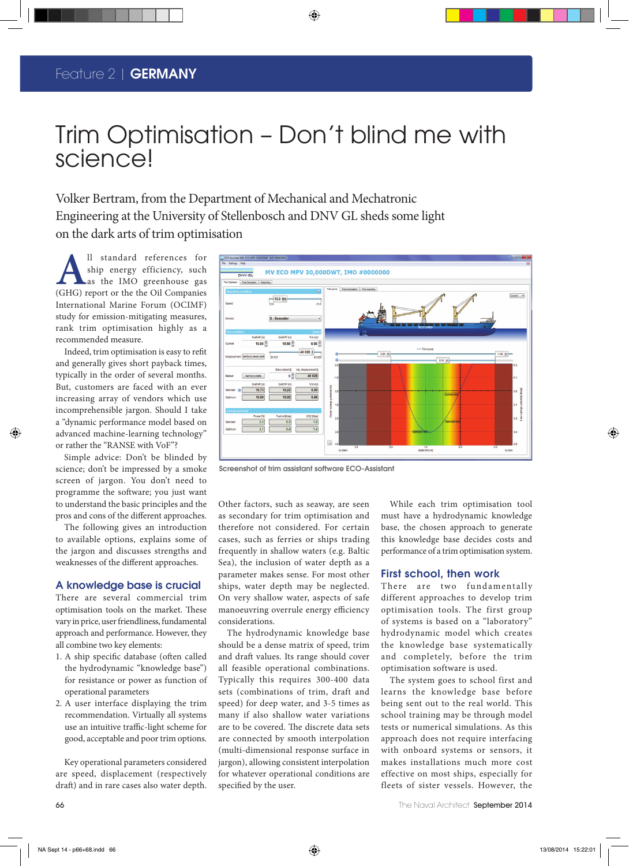### Feature 2 | **GERMANY** The

# Trim Optimisation – Don't blind me with science!

◈

Volker Bertram, from the Department of Mechanical and Mechatronic Engineering at the University of Stellenbosch and DNV GL sheds some light on the dark arts of trim optimisation

**A**ll standard references for<br>ship energy efficiency, such<br>as the IMO greenhouse gas<br>(GHG) report or the the Oil Companies ship energy efficiency, such as the IMO greenhouse gas (GHG) report or the the Oil Companies International Marine Forum (OCIMF) study for emission-mitigating measures, rank trim optimisation highly as a recommended measure.

Indeed, trim optimisation is easy to refit and generally gives short payback times, typically in the order of several months. But, customers are faced with an ever increasing array of vendors which use incomprehensible jargon. Should I take a "dynamic performance model based on advanced machine-learning technology" or rather the "RANSE with VoF"?

Simple advice: Don't be blinded by science; don't be impressed by a smoke screen of jargon. You don't need to programme the software; you just want to understand the basic principles and the pros and cons of the different approaches.

The following gives an introduction to available options, explains some of the jargon and discusses strengths and weaknesses of the different approaches.

### A knowledge base is crucial

There are several commercial trim optimisation tools on the market. These vary in price, user friendliness, fundamental approach and performance. However, they all combine two key elements:

- 1. A ship specific database (often called the hydrodynamic "knowledge base") for resistance or power as function of operational parameters
- 2. A user interface displaying the trim recommendation. Virtually all systems use an intuitive traffic-light scheme for good, acceptable and poor trim options.

Key operational parameters considered are speed, displacement (respectively draft) and in rare cases also water depth.



Screenshot of trim assistant software ECO-Assistant

Other factors, such as seaway, are seen as secondary for trim optimisation and therefore not considered. For certain cases, such as ferries or ships trading frequently in shallow waters (e.g. Baltic Sea), the inclusion of water depth as a parameter makes sense. For most other ships, water depth may be neglected. On very shallow water, aspects of safe manoeuvring overrule energy efficiency considerations.

The hydrodynamic knowledge base should be a dense matrix of speed, trim and draft values. Its range should cover all feasible operational combinations. Typically this requires 300-400 data sets (combinations of trim, draft and speed) for deep water, and 3-5 times as many if also shallow water variations are to be covered. The discrete data sets are connected by smooth interpolation (multi-dimensional response surface in jargon), allowing consistent interpolation for whatever operational conditions are specified by the user.

While each trim optimisation tool must have a hydrodynamic knowledge base, the chosen approach to generate this knowledge base decides costs and performance of a trim optimisation system.

#### First school, then work

There are two fundamentally different approaches to develop trim optimisation tools. The first group of systems is based on a "laboratory" hydrodynamic model which creates the knowledge base systematically and completely, before the trim optimisation software is used.

The system goes to school first and learns the knowledge base before being sent out to the real world. This school training may be through model tests or numerical simulations. As this approach does not require interfacing with onboard systems or sensors, it makes installations much more cost effective on most ships, especially for fleets of sister vessels. However, the

The Naval Architect September 2014

◈